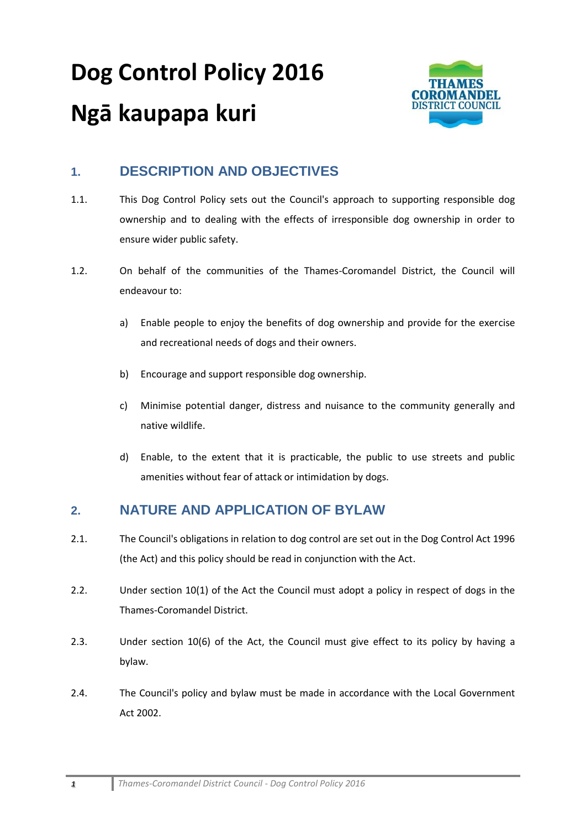# **Dog Control Policy 2016 Ngā kaupapa kuri**



# **1. DESCRIPTION AND OBJECTIVES**

- 1.1. This Dog Control Policy sets out the Council's approach to supporting responsible dog ownership and to dealing with the effects of irresponsible dog ownership in order to ensure wider public safety.
- 1.2. On behalf of the communities of the Thames-Coromandel District, the Council will endeavour to:
	- a) Enable people to enjoy the benefits of dog ownership and provide for the exercise and recreational needs of dogs and their owners.
	- b) Encourage and support responsible dog ownership.
	- c) Minimise potential danger, distress and nuisance to the community generally and native wildlife.
	- d) Enable, to the extent that it is practicable, the public to use streets and public amenities without fear of attack or intimidation by dogs.

### **2. NATURE AND APPLICATION OF BYLAW**

- 2.1. The Council's obligations in relation to dog control are set out in the Dog Control Act 1996 (the Act) and this policy should be read in conjunction with the Act.
- 2.2. Under section 10(1) of the Act the Council must adopt a policy in respect of dogs in the Thames-Coromandel District.
- 2.3. Under section 10(6) of the Act, the Council must give effect to its policy by having a bylaw.
- 2.4. The Council's policy and bylaw must be made in accordance with the Local Government Act 2002.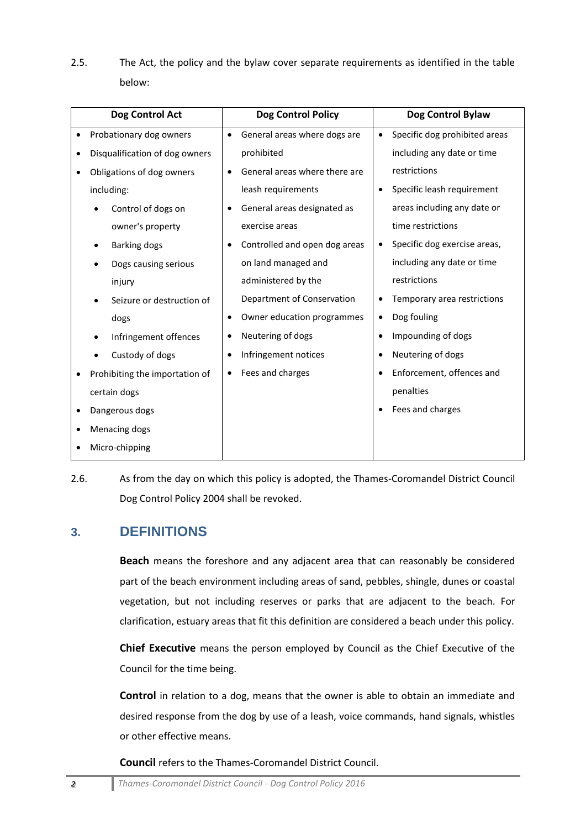2.5. The Act, the policy and the bylaw cover separate requirements as identified in the table below:

| Dog Control Act                | <b>Dog Control Policy</b>                 | Dog Control Bylaw             |
|--------------------------------|-------------------------------------------|-------------------------------|
| Probationary dog owners        | General areas where dogs are<br>$\bullet$ | Specific dog prohibited areas |
| Disqualification of dog owners | prohibited                                | including any date or time    |
| Obligations of dog owners      | General areas where there are             | restrictions                  |
| including:                     | leash requirements                        | Specific leash requirement    |
| Control of dogs on             | General areas designated as               | areas including any date or   |
| owner's property               | exercise areas                            | time restrictions             |
| Barking dogs                   | Controlled and open dog areas             | Specific dog exercise areas,  |
| Dogs causing serious           | on land managed and                       | including any date or time    |
| injury                         | administered by the                       | restrictions                  |
| Seizure or destruction of      | Department of Conservation                | Temporary area restrictions   |
| dogs                           | Owner education programmes                | Dog fouling                   |
| Infringement offences          | Neutering of dogs                         | Impounding of dogs            |
| Custody of dogs                | Infringement notices                      | Neutering of dogs             |
| Prohibiting the importation of | Fees and charges                          | Enforcement, offences and     |
| certain dogs                   |                                           | penalties                     |
| Dangerous dogs                 |                                           | Fees and charges              |
| Menacing dogs                  |                                           |                               |
| Micro-chipping                 |                                           |                               |

2.6. As from the day on which this policy is adopted, the Thames-Coromandel District Council Dog Control Policy 2004 shall be revoked.

#### **3. DEFINITIONS**

**Beach** means the foreshore and any adjacent area that can reasonably be considered part of the beach environment including areas of sand, pebbles, shingle, dunes or coastal vegetation, but not including reserves or parks that are adjacent to the beach. For clarification, estuary areas that fit this definition are considered a beach under this policy.

**Chief Executive** means the person employed by Council as the Chief Executive of the Council for the time being.

**Control** in relation to a dog, means that the owner is able to obtain an immediate and desired response from the dog by use of a leash, voice commands, hand signals, whistles or other effective means.

**Council** refers to the Thames-Coromandel District Council.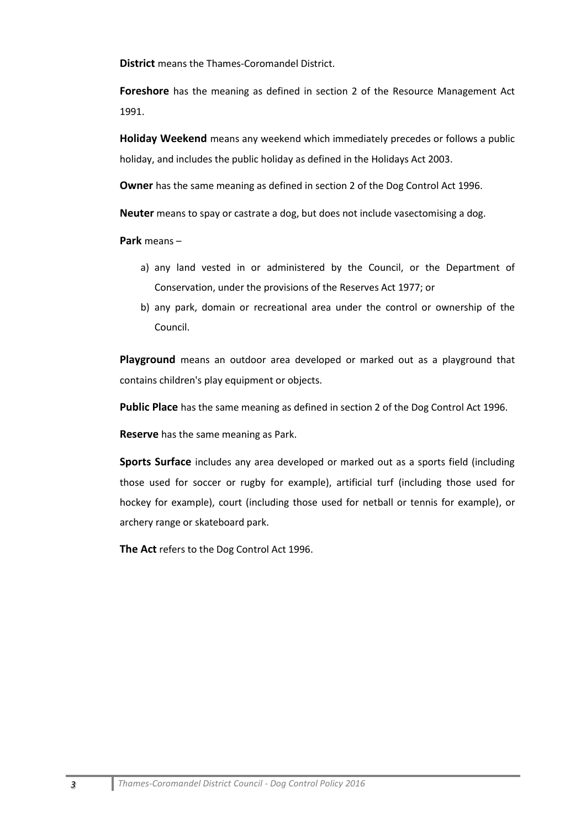**District** means the Thames-Coromandel District.

**Foreshore** has the meaning as defined in section 2 of the Resource Management Act 1991.

**Holiday Weekend** means any weekend which immediately precedes or follows a public holiday, and includes the public holiday as defined in the Holidays Act 2003.

**Owner** has the same meaning as defined in section 2 of the Dog Control Act 1996.

**Neuter** means to spay or castrate a dog, but does not include vasectomising a dog.

**Park** means –

- a) any land vested in or administered by the Council, or the Department of Conservation, under the provisions of the Reserves Act 1977; or
- b) any park, domain or recreational area under the control or ownership of the Council.

**Playground** means an outdoor area developed or marked out as a playground that contains children's play equipment or objects.

**Public Place** has the same meaning as defined in section 2 of the Dog Control Act 1996.

**Reserve** has the same meaning as Park.

**Sports Surface** includes any area developed or marked out as a sports field (including those used for soccer or rugby for example), artificial turf (including those used for hockey for example), court (including those used for netball or tennis for example), or archery range or skateboard park.

**The Act** refers to the Dog Control Act 1996.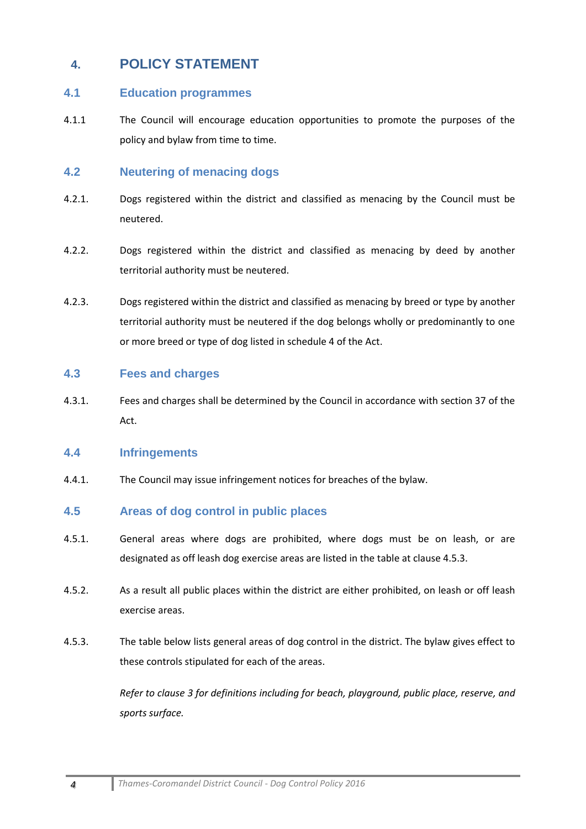## **4. POLICY STATEMENT**

#### **4.1 Education programmes**

4.1.1 The Council will encourage education opportunities to promote the purposes of the policy and bylaw from time to time.

#### **4.2 Neutering of menacing dogs**

- 4.2.1. Dogs registered within the district and classified as menacing by the Council must be neutered.
- 4.2.2. Dogs registered within the district and classified as menacing by deed by another territorial authority must be neutered.
- 4.2.3. Dogs registered within the district and classified as menacing by breed or type by another territorial authority must be neutered if the dog belongs wholly or predominantly to one or more breed or type of dog listed in schedule 4 of the Act.

#### **4.3 Fees and charges**

4.3.1. Fees and charges shall be determined by the Council in accordance with section 37 of the Act.

#### **4.4 Infringements**

4.4.1. The Council may issue infringement notices for breaches of the bylaw.

#### **4.5 Areas of dog control in public places**

- 4.5.1. General areas where dogs are prohibited, where dogs must be on leash, or are designated as off leash dog exercise areas are listed in the table at clause 4.5.3.
- 4.5.2. As a result all public places within the district are either prohibited, on leash or off leash exercise areas.
- 4.5.3. The table below lists general areas of dog control in the district. The bylaw gives effect to these controls stipulated for each of the areas.

*Refer to clause 3 for definitions including for beach, playground, public place, reserve, and sports surface.*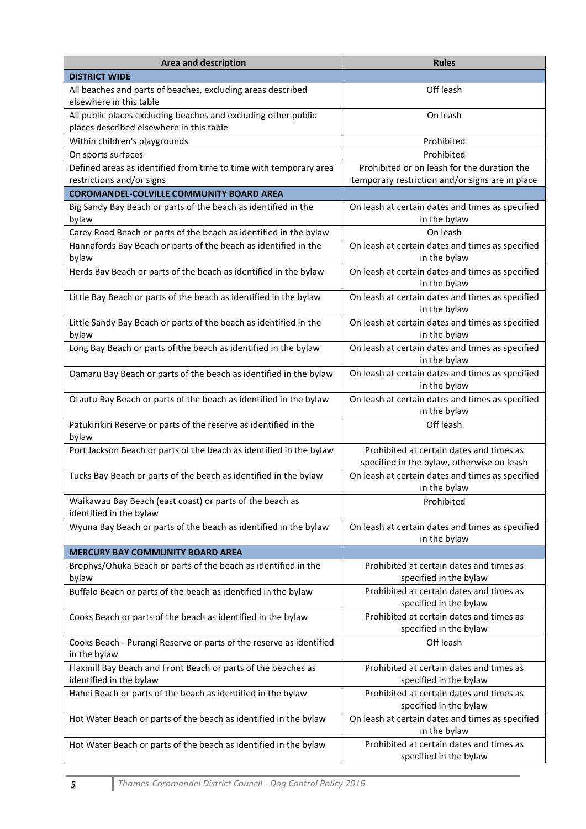| <b>Area and description</b>                                                                                | <b>Rules</b>                                                                           |  |  |  |
|------------------------------------------------------------------------------------------------------------|----------------------------------------------------------------------------------------|--|--|--|
| <b>DISTRICT WIDE</b>                                                                                       |                                                                                        |  |  |  |
| All beaches and parts of beaches, excluding areas described<br>elsewhere in this table                     | Off leash                                                                              |  |  |  |
| All public places excluding beaches and excluding other public<br>places described elsewhere in this table | On leash                                                                               |  |  |  |
| Within children's playgrounds                                                                              | Prohibited                                                                             |  |  |  |
| On sports surfaces                                                                                         | Prohibited                                                                             |  |  |  |
| Defined areas as identified from time to time with temporary area                                          | Prohibited or on leash for the duration the                                            |  |  |  |
| restrictions and/or signs                                                                                  | temporary restriction and/or signs are in place                                        |  |  |  |
| <b>COROMANDEL-COLVILLE COMMUNITY BOARD AREA</b>                                                            |                                                                                        |  |  |  |
| Big Sandy Bay Beach or parts of the beach as identified in the<br>bylaw                                    | On leash at certain dates and times as specified<br>in the bylaw                       |  |  |  |
| Carey Road Beach or parts of the beach as identified in the bylaw                                          | On leash                                                                               |  |  |  |
| Hannafords Bay Beach or parts of the beach as identified in the<br>bylaw                                   | On leash at certain dates and times as specified<br>in the bylaw                       |  |  |  |
| Herds Bay Beach or parts of the beach as identified in the bylaw                                           | On leash at certain dates and times as specified<br>in the bylaw                       |  |  |  |
| Little Bay Beach or parts of the beach as identified in the bylaw                                          | On leash at certain dates and times as specified<br>in the bylaw                       |  |  |  |
| Little Sandy Bay Beach or parts of the beach as identified in the<br>bylaw                                 | On leash at certain dates and times as specified<br>in the bylaw                       |  |  |  |
| Long Bay Beach or parts of the beach as identified in the bylaw                                            | On leash at certain dates and times as specified<br>in the bylaw                       |  |  |  |
| Oamaru Bay Beach or parts of the beach as identified in the bylaw                                          | On leash at certain dates and times as specified<br>in the bylaw                       |  |  |  |
| Otautu Bay Beach or parts of the beach as identified in the bylaw                                          | On leash at certain dates and times as specified<br>in the bylaw                       |  |  |  |
| Patukirikiri Reserve or parts of the reserve as identified in the<br>bylaw                                 | Off leash                                                                              |  |  |  |
| Port Jackson Beach or parts of the beach as identified in the bylaw                                        | Prohibited at certain dates and times as<br>specified in the bylaw, otherwise on leash |  |  |  |
| Tucks Bay Beach or parts of the beach as identified in the bylaw                                           | On leash at certain dates and times as specified<br>in the bylaw                       |  |  |  |
| Waikawau Bay Beach (east coast) or parts of the beach as<br>identified in the bylaw                        | Prohibited                                                                             |  |  |  |
| Wyuna Bay Beach or parts of the beach as identified in the bylaw                                           | On leash at certain dates and times as specified<br>in the bylaw                       |  |  |  |
| <b>MERCURY BAY COMMUNITY BOARD AREA</b>                                                                    |                                                                                        |  |  |  |
| Brophys/Ohuka Beach or parts of the beach as identified in the<br>bylaw                                    | Prohibited at certain dates and times as<br>specified in the bylaw                     |  |  |  |
| Buffalo Beach or parts of the beach as identified in the bylaw                                             | Prohibited at certain dates and times as<br>specified in the bylaw                     |  |  |  |
| Cooks Beach or parts of the beach as identified in the bylaw                                               | Prohibited at certain dates and times as<br>specified in the bylaw                     |  |  |  |
| Cooks Beach - Purangi Reserve or parts of the reserve as identified<br>in the bylaw                        | Off leash                                                                              |  |  |  |
| Flaxmill Bay Beach and Front Beach or parts of the beaches as<br>identified in the bylaw                   | Prohibited at certain dates and times as<br>specified in the bylaw                     |  |  |  |
| Hahei Beach or parts of the beach as identified in the bylaw                                               | Prohibited at certain dates and times as<br>specified in the bylaw                     |  |  |  |
| Hot Water Beach or parts of the beach as identified in the bylaw                                           | On leash at certain dates and times as specified<br>in the bylaw                       |  |  |  |
| Hot Water Beach or parts of the beach as identified in the bylaw                                           | Prohibited at certain dates and times as<br>specified in the bylaw                     |  |  |  |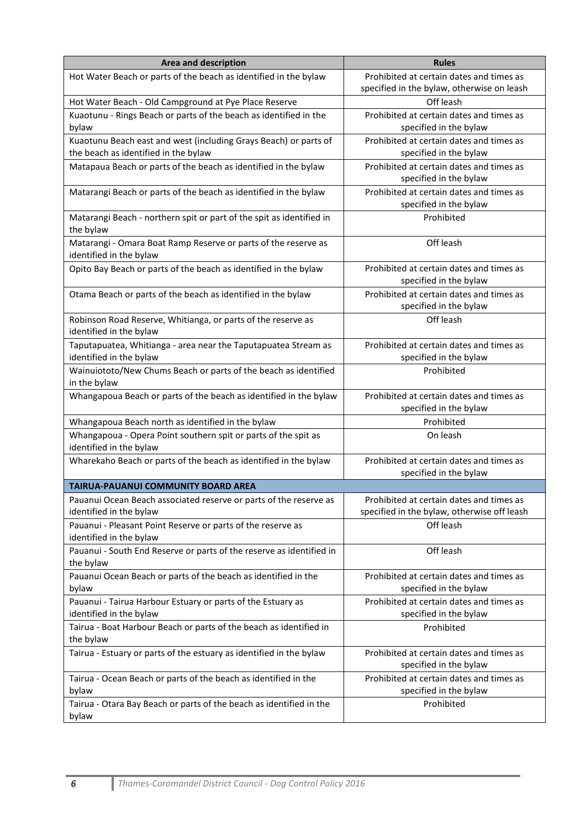| <b>Area and description</b>                                                                              | <b>Rules</b>                                                                            |
|----------------------------------------------------------------------------------------------------------|-----------------------------------------------------------------------------------------|
| Hot Water Beach or parts of the beach as identified in the bylaw                                         | Prohibited at certain dates and times as<br>specified in the bylaw, otherwise on leash  |
| Hot Water Beach - Old Campground at Pye Place Reserve                                                    | Off leash                                                                               |
| Kuaotunu - Rings Beach or parts of the beach as identified in the<br>bylaw                               | Prohibited at certain dates and times as<br>specified in the bylaw                      |
| Kuaotunu Beach east and west (including Grays Beach) or parts of<br>the beach as identified in the bylaw | Prohibited at certain dates and times as<br>specified in the bylaw                      |
| Matapaua Beach or parts of the beach as identified in the bylaw                                          | Prohibited at certain dates and times as<br>specified in the bylaw                      |
| Matarangi Beach or parts of the beach as identified in the bylaw                                         | Prohibited at certain dates and times as<br>specified in the bylaw                      |
| Matarangi Beach - northern spit or part of the spit as identified in<br>the bylaw                        | Prohibited                                                                              |
| Matarangi - Omara Boat Ramp Reserve or parts of the reserve as<br>identified in the bylaw                | Off leash                                                                               |
| Opito Bay Beach or parts of the beach as identified in the bylaw                                         | Prohibited at certain dates and times as<br>specified in the bylaw                      |
| Otama Beach or parts of the beach as identified in the bylaw                                             | Prohibited at certain dates and times as<br>specified in the bylaw                      |
| Robinson Road Reserve, Whitianga, or parts of the reserve as<br>identified in the bylaw                  | Off leash                                                                               |
| Taputapuatea, Whitianga - area near the Taputapuatea Stream as<br>identified in the bylaw                | Prohibited at certain dates and times as<br>specified in the bylaw                      |
| Wainuiototo/New Chums Beach or parts of the beach as identified<br>in the bylaw                          | Prohibited                                                                              |
| Whangapoua Beach or parts of the beach as identified in the bylaw                                        | Prohibited at certain dates and times as<br>specified in the bylaw                      |
| Whangapoua Beach north as identified in the bylaw                                                        | Prohibited                                                                              |
| Whangapoua - Opera Point southern spit or parts of the spit as<br>identified in the bylaw                | On leash                                                                                |
| Wharekaho Beach or parts of the beach as identified in the bylaw                                         | Prohibited at certain dates and times as<br>specified in the bylaw                      |
| <b>TAIRUA-PAUANUI COMMUNITY BOARD AREA</b>                                                               |                                                                                         |
| Pauanui Ocean Beach associated reserve or parts of the reserve as<br>identified in the bylaw             | Prohibited at certain dates and times as<br>specified in the bylaw, otherwise off leash |
| Pauanui - Pleasant Point Reserve or parts of the reserve as<br>identified in the bylaw                   | Off leash                                                                               |
| Pauanui - South End Reserve or parts of the reserve as identified in<br>the bylaw                        | Off leash                                                                               |
| Pauanui Ocean Beach or parts of the beach as identified in the<br>bylaw                                  | Prohibited at certain dates and times as<br>specified in the bylaw                      |
| Pauanui - Tairua Harbour Estuary or parts of the Estuary as                                              | Prohibited at certain dates and times as                                                |
| identified in the bylaw                                                                                  | specified in the bylaw                                                                  |
| Tairua - Boat Harbour Beach or parts of the beach as identified in<br>the bylaw                          | Prohibited                                                                              |
| Tairua - Estuary or parts of the estuary as identified in the bylaw                                      | Prohibited at certain dates and times as<br>specified in the bylaw                      |
| Tairua - Ocean Beach or parts of the beach as identified in the<br>bylaw                                 | Prohibited at certain dates and times as<br>specified in the bylaw                      |
| Tairua - Otara Bay Beach or parts of the beach as identified in the<br>bylaw                             | Prohibited                                                                              |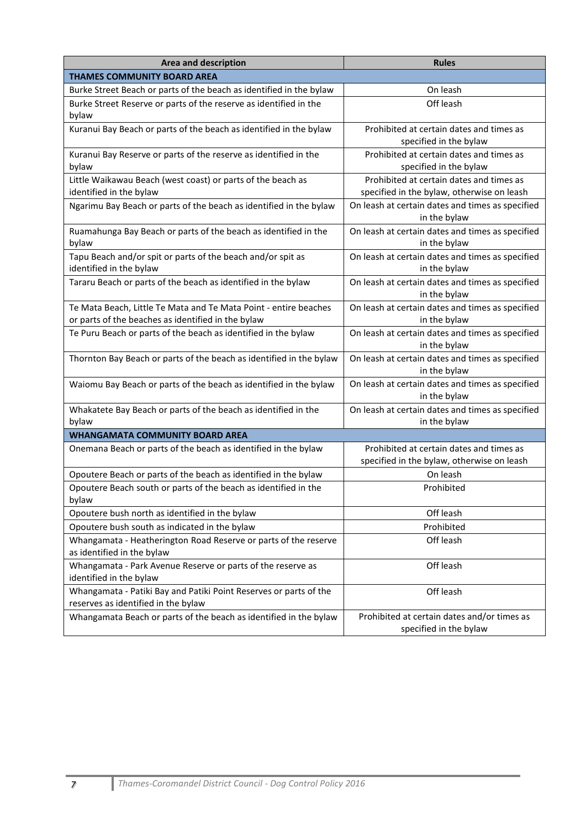| <b>Area and description</b>                                                                                            | <b>Rules</b>                                                                           |  |  |  |
|------------------------------------------------------------------------------------------------------------------------|----------------------------------------------------------------------------------------|--|--|--|
| THAMES COMMUNITY BOARD AREA                                                                                            |                                                                                        |  |  |  |
| Burke Street Beach or parts of the beach as identified in the bylaw                                                    | On leash                                                                               |  |  |  |
| Burke Street Reserve or parts of the reserve as identified in the<br>bylaw                                             | Off leash                                                                              |  |  |  |
| Kuranui Bay Beach or parts of the beach as identified in the bylaw                                                     | Prohibited at certain dates and times as<br>specified in the bylaw                     |  |  |  |
| Kuranui Bay Reserve or parts of the reserve as identified in the<br>bylaw                                              | Prohibited at certain dates and times as<br>specified in the bylaw                     |  |  |  |
| Little Waikawau Beach (west coast) or parts of the beach as<br>identified in the bylaw                                 | Prohibited at certain dates and times as<br>specified in the bylaw, otherwise on leash |  |  |  |
| Ngarimu Bay Beach or parts of the beach as identified in the bylaw                                                     | On leash at certain dates and times as specified<br>in the bylaw                       |  |  |  |
| Ruamahunga Bay Beach or parts of the beach as identified in the<br>bylaw                                               | On leash at certain dates and times as specified<br>in the bylaw                       |  |  |  |
| Tapu Beach and/or spit or parts of the beach and/or spit as<br>identified in the bylaw                                 | On leash at certain dates and times as specified<br>in the bylaw                       |  |  |  |
| Tararu Beach or parts of the beach as identified in the bylaw                                                          | On leash at certain dates and times as specified<br>in the bylaw                       |  |  |  |
| Te Mata Beach, Little Te Mata and Te Mata Point - entire beaches<br>or parts of the beaches as identified in the bylaw | On leash at certain dates and times as specified<br>in the bylaw                       |  |  |  |
| Te Puru Beach or parts of the beach as identified in the bylaw                                                         | On leash at certain dates and times as specified<br>in the bylaw                       |  |  |  |
| Thornton Bay Beach or parts of the beach as identified in the bylaw                                                    | On leash at certain dates and times as specified<br>in the bylaw                       |  |  |  |
| Waiomu Bay Beach or parts of the beach as identified in the bylaw                                                      | On leash at certain dates and times as specified<br>in the bylaw                       |  |  |  |
| Whakatete Bay Beach or parts of the beach as identified in the<br>bylaw                                                | On leash at certain dates and times as specified<br>in the bylaw                       |  |  |  |
| <b>WHANGAMATA COMMUNITY BOARD AREA</b>                                                                                 |                                                                                        |  |  |  |
| Onemana Beach or parts of the beach as identified in the bylaw                                                         | Prohibited at certain dates and times as<br>specified in the bylaw, otherwise on leash |  |  |  |
| Opoutere Beach or parts of the beach as identified in the bylaw                                                        | On leash                                                                               |  |  |  |
| Opoutere Beach south or parts of the beach as identified in the<br>bylaw                                               | Prohibited                                                                             |  |  |  |
| Opoutere bush north as identified in the bylaw                                                                         | Off leash                                                                              |  |  |  |
| Opoutere bush south as indicated in the bylaw                                                                          | Prohibited                                                                             |  |  |  |
| Whangamata - Heatherington Road Reserve or parts of the reserve<br>as identified in the bylaw                          | Off leash                                                                              |  |  |  |
| Whangamata - Park Avenue Reserve or parts of the reserve as<br>identified in the bylaw                                 | Off leash                                                                              |  |  |  |
| Whangamata - Patiki Bay and Patiki Point Reserves or parts of the<br>reserves as identified in the bylaw               | Off leash                                                                              |  |  |  |
| Whangamata Beach or parts of the beach as identified in the bylaw                                                      | Prohibited at certain dates and/or times as<br>specified in the bylaw                  |  |  |  |